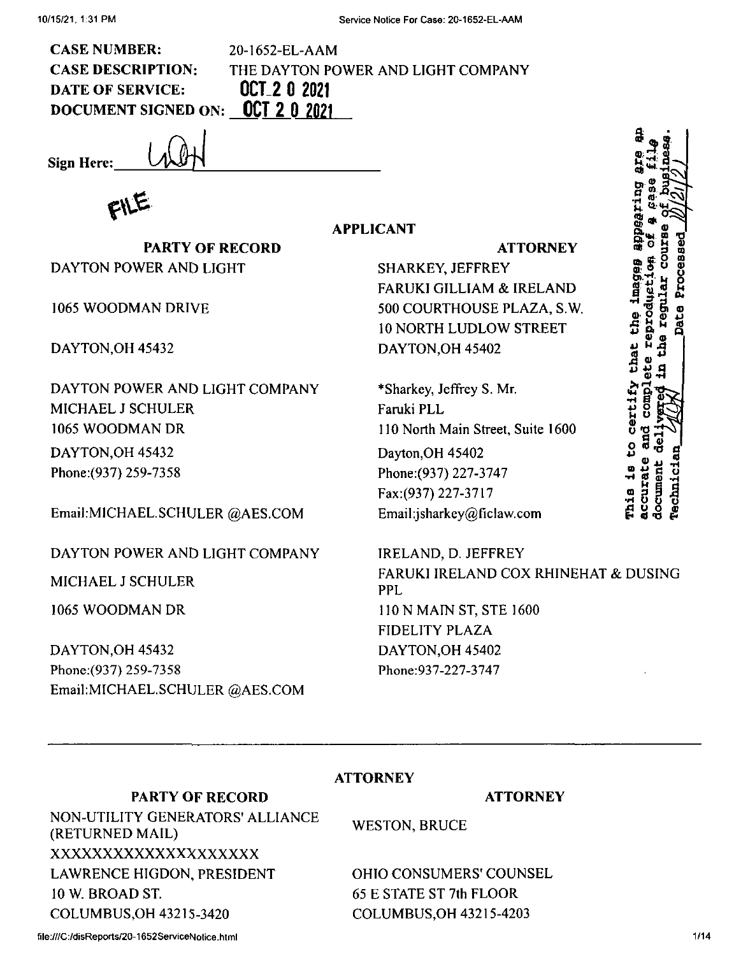**APPLICANT**

THE DAYTON POWER AND LIGHT COMPANY

**CASE NUMBER:** CASE DESCRIPTION: DATE OF SERVICE: **DOCUMENT SIGNED ON: OCT 2 0\_2021**

**Sign Here:**

**PARTY OF RECORD** DAYTON POWER AND LIGHT

*i*

20-1652-EL-AAM

**OCT 2 0 2021**

1065 WOODMAN DRIVE

DAYTON,OH 45432

DAYTON,OH 45432 Phone:(937) 259-7358 DAYTON POWER AND LIGHT COMPANY MICHAEL J SCHULER 1065 WOODMAN DR

EmaikMlCHAEL.SCHULER @AES.COM

DAYTON POWER AND LIGHT COMPANY

MICHAEL J SCHULER

1065 WOODMAN DR

DAYTON,OH 45432 Phone;(937) 259-7358 EmaikMICHAEL.SCHULER @AES.COM **ATTORNEY**

SHARKEY, JEFFREY FARUKI GILLIAM & IRELAND 500 COURTHOUSE PLAZA, S.W. 10 NORTH LUDLOW STREET DAYTON,OH 45402

\*Sharkey, Jeffrey S. Mr. Faruki PLL 110 North Main Street, Suite 1600 Dayton,OH 45402 Phone:(937) 227-3747 Fax:(937) 227-3717 Email:jsharkey@Ficlaw.com

IRELAND, D. JEFFREY FARUKI IRELAND COX RHINEHAT & DUSING PPL <sup>1</sup> ION MAIN ST, STE 1600 FIDELITY PLAZA DAYTON,OH 45402 Phone:937-227-3747

#### **ATTORNEY**

## **PARTY OF RECORD**

# NON-UTILITY GENERATORS' ALLIANCE (RETURNED MAIL) xxxxxxxxxxxxxxxxxxxx LAWRENCE HIGDON, PRESIDENT 10 W. BROAD ST. COLUMBUS,OH 43215-3420

**ATTORNEY**

WESTON, BRUCE

OHIO CONSUMERS' COUNSEL 65 E STATE ST 7th FLOOR COLUMBUS,OH 43215-4203

**F**<br>**B c**<br>**B c**<br>**B c**<br>**F e**<br>**F e** ន<br>បាន<br>ស្លា អ្ន J? ti <sup>C</sup> o **0** 000 201 **3e.9** •a'\*\*\*' **1\*0 <sup>1</sup> S'Mrt W •O 3 <sup>W</sup>** Ö. **<U' p <sup>O</sup>** <sup>S</sup>' - <sup>Q</sup> <sup>w</sup> ® **I**<br> **I**at<br>
the O S' certif **s**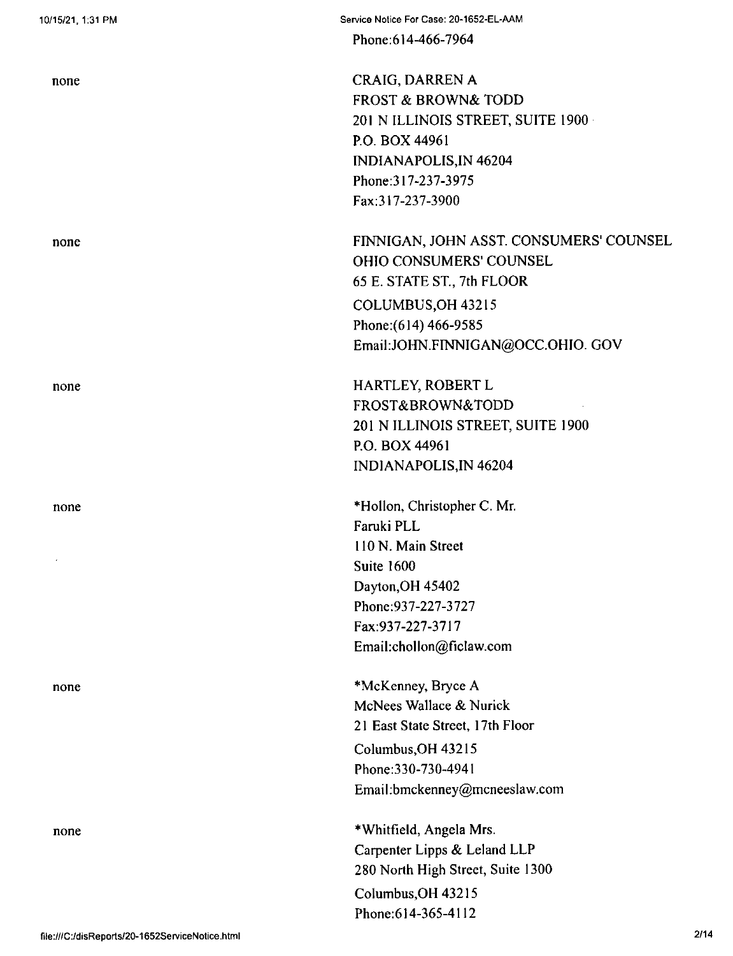none

none

none

none

none

Phone:614-466-7964

CRAIG, DARREN A FROST & BROWN& TODD 201 N ILLINOIS STREET, SUITE 1900 P.O. BOX 44961 INDIANAPOLIS,IN 46204 Phone:317-237-3975 Fax:317-237-3900

FINNIGAN, JOHN ASST. CONSUMERS' COUNSEL OHIO CONSUMERS' COUNSEL 65 E. STATE ST., 7th FLOOR COLUMBUS,OH 43215 Phone:(614) 466-9585 EmaiI:JOHN.FINNIGAN@OCC.OHIO. GOV

HARTLEY, ROBERT L FROST&BROWN&TODD 201 N ILLINOIS STREET, SUITE 1900 P.O. BOX 44961 INDIANAPOLIS,IN 46204

\*Hollon, Christopher C. Mr. Faruki PLL 110 N. Main Street Suite 1600 Dayton,OH 45402 Phone:937-227-3727 Fax:937-227-3717 Email:chollon@ficlaw.com

\*McKenney, Bryce A McNees Wallace & Nurick 21 East State Street, 17th Floor Columbus,OH 43215 Phone:330-730-4941 Emai<sup>I</sup> :bmckenney@mcneeslaw.com

\*Whitfield, Angela Mrs. Carpenter Lipps & Leland LLP 280 North High Street, Suite 1300 Columbus,OH 43215 Phone:614-365-4112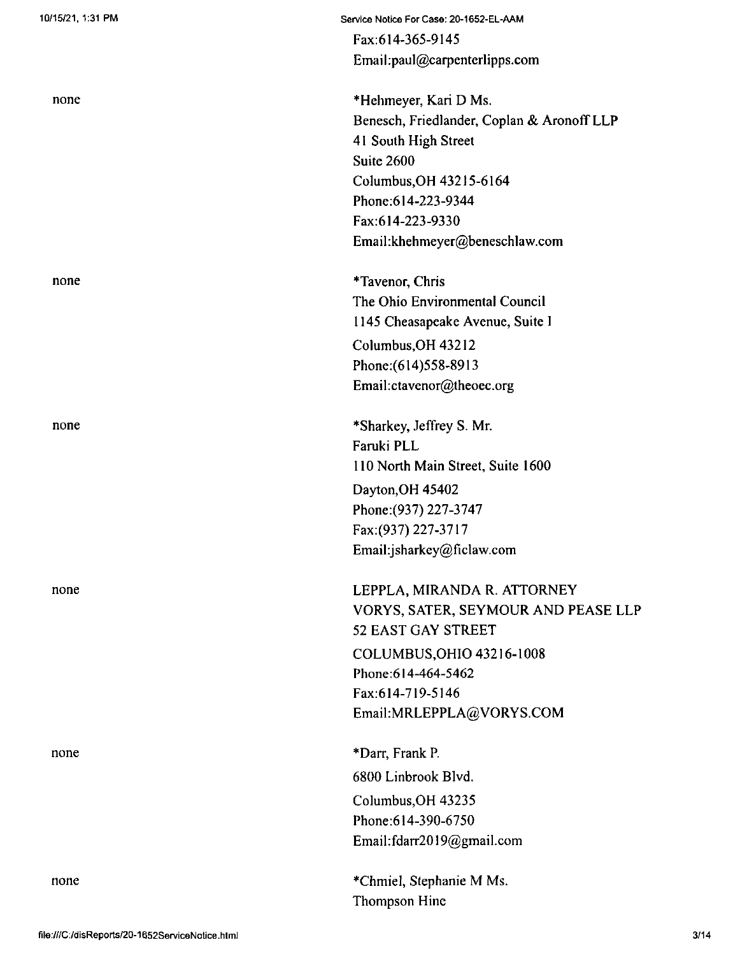| none |  |
|------|--|
|      |  |

none

none

none

none

Service Notice For Case: 20-1652-EL-AAM Fax:614-365-9145 Email:paul@carpenterlipps.com

\*Hehmeyer, Kari D Ms. Benesch, Friedlander, Coplan & Aronoff LLP 4<sup>1</sup> South High Street Suite 2600 Columbus,OH 43215-6164 Phone;614-223-9344 Fax:614-223-9330 Email:khehmeyer@beneschlaw.com

♦Tavenor, Chris The Ohio Environmental Council 1145 Cheasapeake Avenue, Suite <sup>I</sup> Columbus,OH 43212 Phone;(614)558-8913

Email:ctavenor@theoec.org

♦Sharkey, Jeffrey S. Mr. Faruki PLL 110 North Main Street, Suite 1600 Dayton,OH 45402 Phone:(937) 227-3747 Fax:(937) 227-3717 Email:jsharkey@ficlaw.com

LEPPLA, MIRANDA R. ATTORNEY VORYS, SATER, SEYMOUR AND PEASE LLP 52 EAST GAY STREET COLUMBUS,OHIO 43216-1008 Phone:614-464-5462 Fax;614-719-5146 Email:MRLEPPLA@VORYS.COM

Columbus,OH 43235 Phone:614-390-6750 Email:fdarr2019@gmail.com ♦Darr, Frank P. 6800 Linbrook Blvd.

\*ChmieI, Stephanie M Ms. Thompson Hine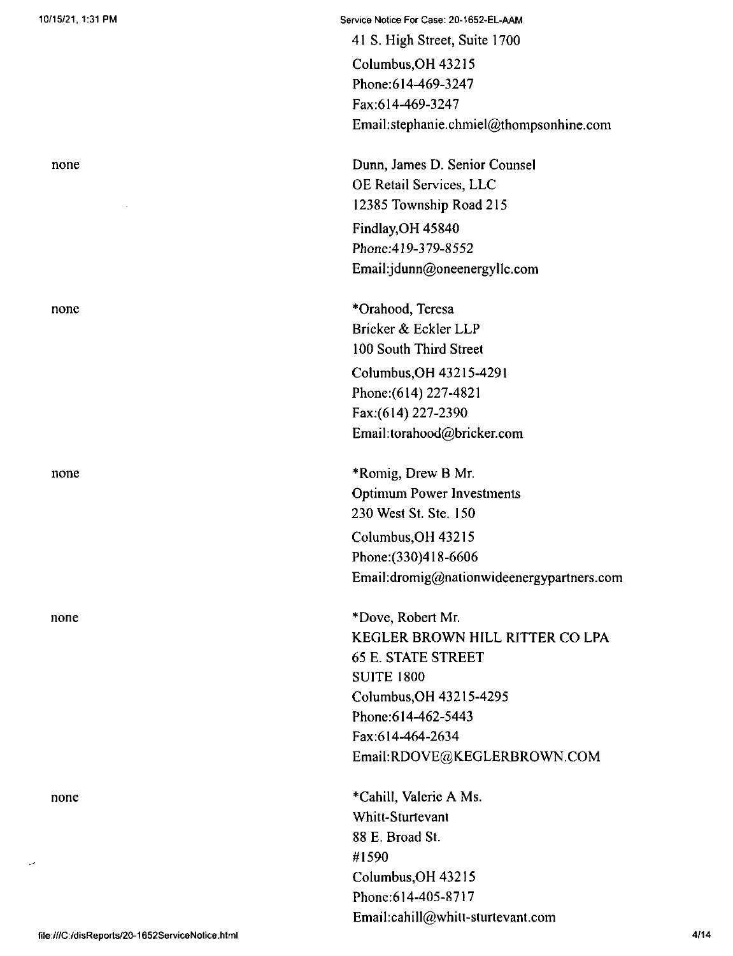none

none

none

none

Service Notice For Case: 20-1652-EL-AAM 41 S. High Street, Suite 1700 Columbus,OH 43215 Phone:614-469-3247 Fax:614-469-3247 Email:stephanie.chmiel@thompsonhine.com

Dunn, James D. Senior Counsel OE Retail Services, LLC 12385 Township Road 215 *Findlay,OH 45840 Phone:419-379-8552* Email:jdunn@oneenergyllc.com

\*Orahood, Teresa Bricker & Eckler LLP 100 South Third Street Columbus,OH 43215-4291 Phone:(614) 227-4821 Fax;(614) 227-2390 Email:torahood@bricker.com

Columbus,OH 43215 Phone:(330)418-6606 Email:dromig@nationwideenergypartners.com \*Romig, Drew B Mr. Optimum Power Investments 230 West St. Ste. 150

\*Dove, Robert Mr. KEGLER BROWN HILL RITTER CO LPA 65 E. STATE STREET SUITE 1800 Columbus,OH 43215-4295 Phone:614-462-5443 Fax:614-464-2634 EmaikRDOVE@KEGLERBROWN.COM

♦Cahill, Valerie A Ms. Whitt-Sturtevant 88 E. Broad St. #1590 Columbus,OH 43215 Phone:614-405-8717 Email:cahill@whitt-sturtevant.com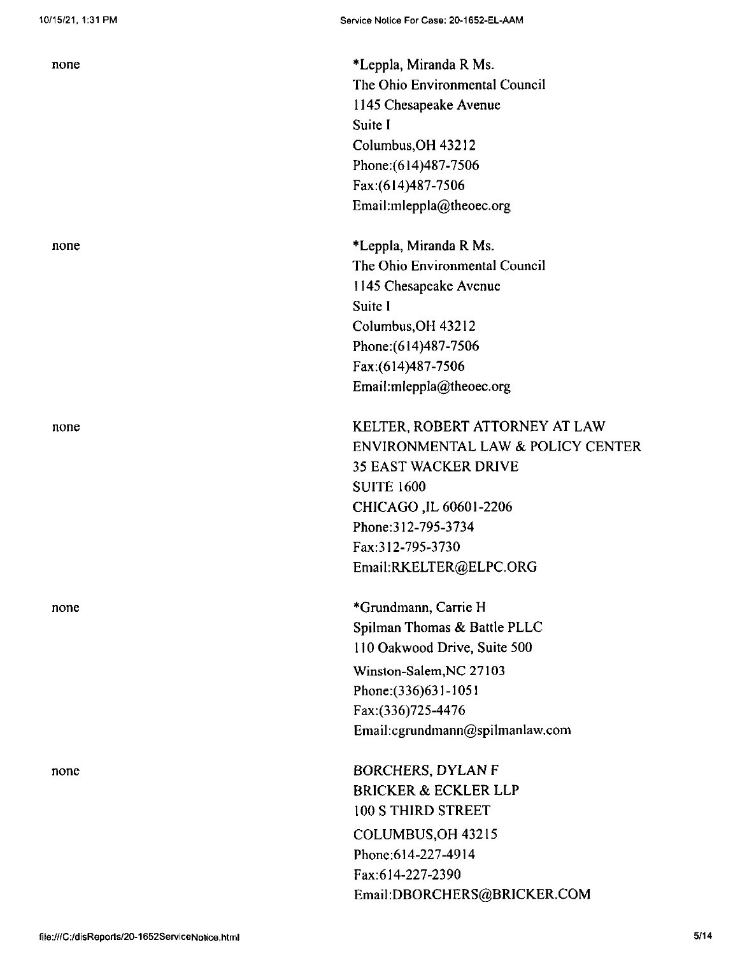none

none

none

\*Leppla, Miranda R Ms. The Ohio Environmental Council 1145 Chesapeake Avenue Suite I Columbus,OH 43212 Phone:(614)487-7506 Fax:(614)487-7506 Email:mleppla@theoec.org

\*Leppla, Miranda R Ms. The Ohio Environmental Council 1145 Chesapeake Avenue Suite I Columbus,OH 43212 Phone:(614)487-7506 Fax:(614)487-7506 Email:mleppla@theoec.org

KELTER, ROBERT ATTORNEY AT LAW ENVIRONMENTAL LAW & POLICY CENTER 35 EAST WACKER DRIVE SUITE 1600 CHICAGO,IL 60601-2206 Phone:312-795-3734 Fax:312-795-3730 Email:RKELTER@ELPC.ORG

\*Grundmann, Carrie H Spilman Thomas & Battle PLLC 110 Oakwood Drive, Suite 500 Winston-Salem,NC 27103

Phone:(336)631-1051 Fax:(336)725-4476 Email:cgrundrnann@spilmanlaw.com

BORCHERS, DYLAN F BRICKER & ECKLER LLP 100 S THIRD STREET COLUMBUS,OH 43215 Phone:614-227-4914 Fax:614-227-2390 Email:DBORCHERS@BRICKER.COM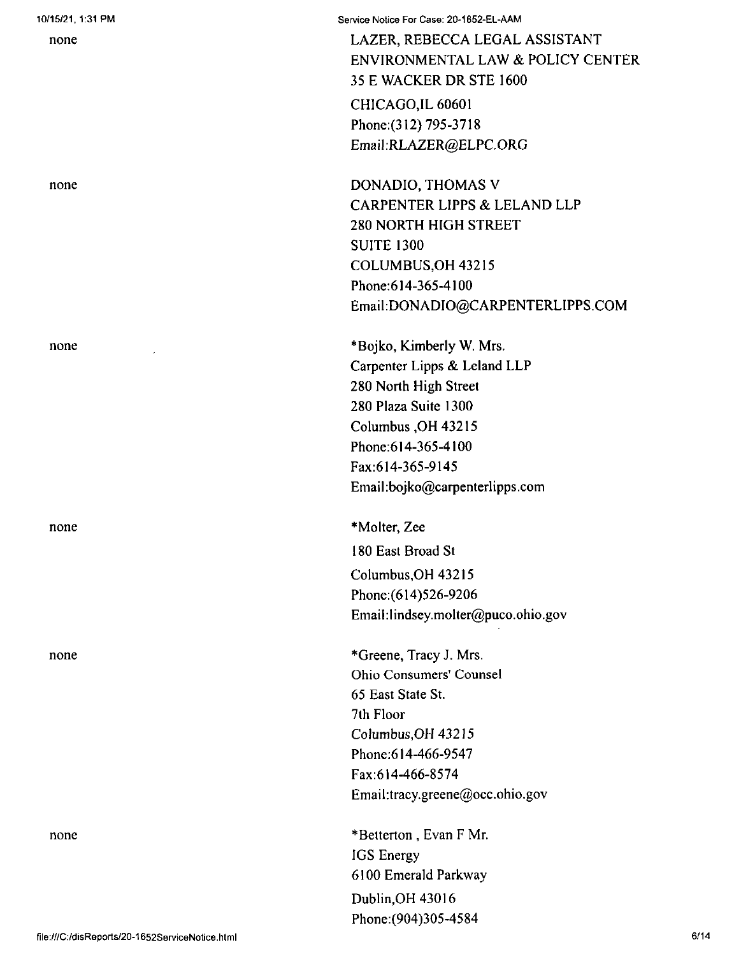| 10/15/21, 1:31 PM<br>none | Service Notice For Case: 20-1652-EL-AAM<br>LAZER, REBECCA LEGAL ASSISTANT<br>ENVIRONMENTAL LAW & POLICY CENTER |
|---------------------------|----------------------------------------------------------------------------------------------------------------|
|                           | 35 E WACKER DR STE 1600                                                                                        |
|                           | CHICAGO, IL 60601                                                                                              |
|                           | Phone: (312) 795-3718                                                                                          |
|                           | Email:RLAZER@ELPC.ORG                                                                                          |
| none                      | DONADIO, THOMAS V                                                                                              |
|                           | CARPENTER LIPPS & LELAND LLP                                                                                   |
|                           | <b>280 NORTH HIGH STREET</b>                                                                                   |
|                           | <b>SUITE 1300</b>                                                                                              |
|                           | COLUMBUS, OH 43215                                                                                             |
|                           | Phone: 614-365-4100                                                                                            |
|                           | Email:DONADIO@CARPENTERLIPPS.COM                                                                               |
| none                      | *Bojko, Kimberly W. Mrs.                                                                                       |
|                           | Carpenter Lipps & Leland LLP                                                                                   |
|                           | 280 North High Street                                                                                          |
|                           | 280 Plaza Suite 1300                                                                                           |
|                           | Columbus, OH 43215                                                                                             |
|                           | Phone: 614-365-4100<br>Fax:614-365-9145                                                                        |
|                           | Email:bojko@carpenterlipps.com                                                                                 |
| none                      | *Molter, Zee                                                                                                   |
|                           | 180 East Broad St                                                                                              |
|                           | Columbus, OH 43215                                                                                             |
|                           | Phone: (614) 526-9206                                                                                          |
|                           | Email:lindsey.molter@puco.ohio.gov                                                                             |
| none                      | *Greene, Tracy J. Mrs.                                                                                         |
|                           | Ohio Consumers' Counsel                                                                                        |
|                           | 65 East State St.                                                                                              |
|                           | 7th Floor                                                                                                      |
|                           | Columbus, OH 43215                                                                                             |
|                           | Phone: 614-466-9547                                                                                            |
|                           | Fax:614-466-8574                                                                                               |
|                           | Email:tracy.greene@occ.ohio.gov                                                                                |
| none                      | *Betterton, Evan F Mr.                                                                                         |
|                           | IGS Energy                                                                                                     |
|                           | 6100 Emerald Parkway                                                                                           |
|                           | Dublin, OH 43016                                                                                               |
|                           | Phone: (904) 305-4584                                                                                          |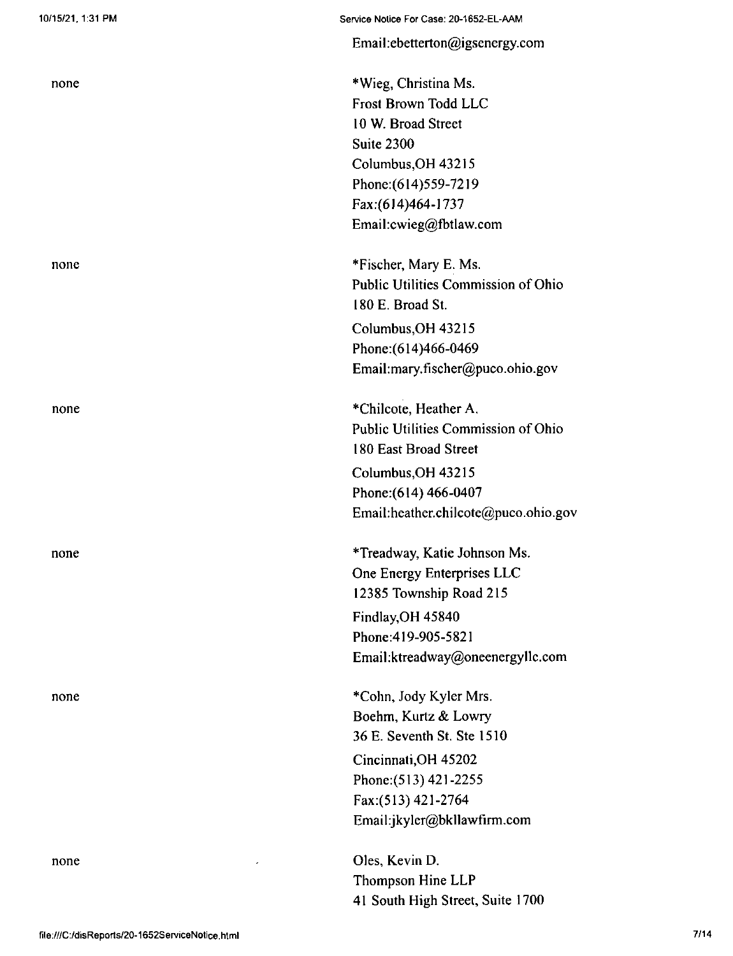| none | *Wieg, Chr        |
|------|-------------------|
|      | <b>Frost Brow</b> |
|      | 10 W. Broa        |
|      | Suite 2300        |
|      | Columbus,         |
|      | Phone: (614       |
|      | Fax:(614)4        |
|      | Email:cwie        |
| none | *Fischer, M       |
|      | Public Utili      |
|      | 180 E. Broa       |
|      | Columbus,         |
|      | Phone:(614        |
|      | Email:mary        |
| none | *Chilcote,        |
|      | Public Utili      |
|      | 180 East Br       |
|      | Columbus,         |
|      | Phone: (614       |
|      | Email:heatl       |
| none | *Treadway,        |
|      | One Energy        |
|      | 12385 Tow         |
|      | Findlay, OH       |
|      | Phone:419-        |
|      | Email:ktrea       |
| none | *Cohn, Jod        |
|      | Boehm, Ku         |
|      | 36 E. Sever       |
|      | Cincinnati,       |
|      | Phone: $(513$     |
|      | Fax:(513) 4       |
|      | Email:jkyle       |
| none | Oles, Kevi        |
|      | Thompson          |
|      | $41.0 - 1.1$      |

#### Emai!;ebetterton@igsenergy.com

ristina Ms. m Todd LLC d Street OH 43215 Phone:(614)559-7219  $[64-1737]$ eg@fbtlaw.com

Aary E. Ms. ities Commission of Ohio ad St. OH 43215 Phone:(614)466-0469 y.fischer@puco.ohio.gov

Heather A. ities Commission of Ohio road Street OH 43215  $466 - 0407$ her.chilcote@puco.ohio.gov

, Katie Johnson Ms. y Enterprises LLC nship Road 215 H 45840 Phone:419-905-5821 adway@oneenergyllc.com

ly Kyler Mrs. Irtz & Lowry nth St. Ste  $1510$ OH 45202 Phone:(513) 421-2255 Fax:(513) 421-2764 er@bkllawfirm.com

n D. Hine LLP 41 South High Street, Suite 1700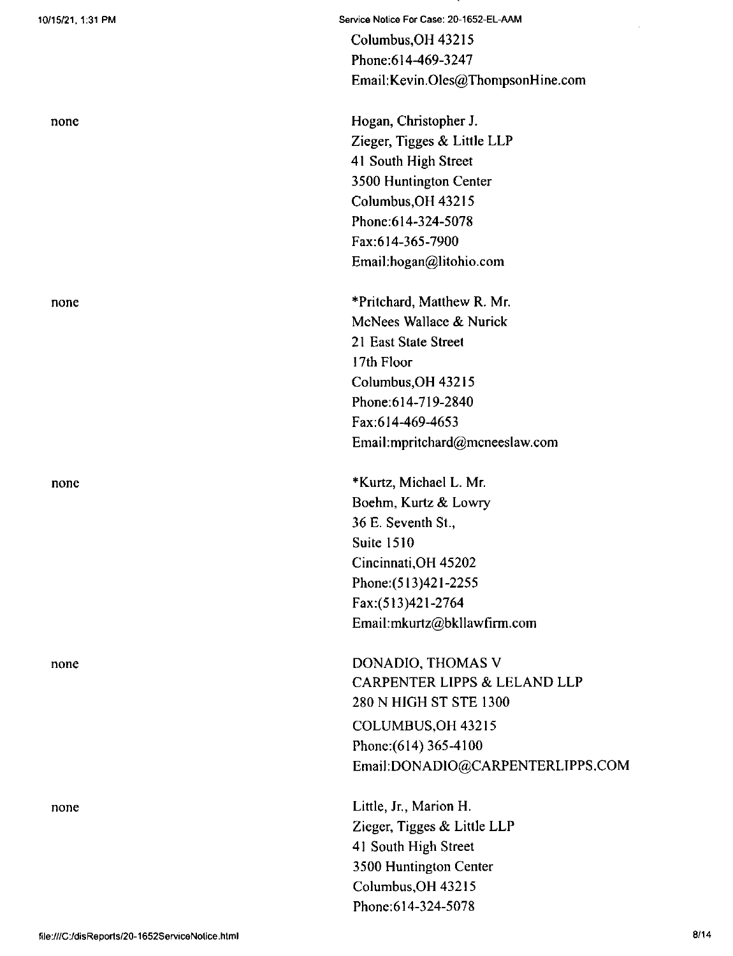none

none

none

none

Service Notice For Case; 20-1652-EL-AAM

Columbus,OH 43215 Phone:614-469-3247 Email: Kevin.Oles@ThompsonHine.com

Hogan, Christopher J. Zieger, Tigges & Little LLP 41 South High Street 3500 Huntington Center Columbus,OH 43215 Phone:614-324-5078 Fax:614-365-7900 Email:hogan@litohio.com

\*Pritchard, Matthew R. Mr. McNees Wallace & Nurick 21 East State Street 17th Floor Columbus,OH 43215 Phone:614-719-2840 Fax:614-469-4653 Email:mpritchard@mcneeslaw.com

5 36 E. Seventh St. \*Kurtz, Michael L. Mr. Boehm, Kurtz & Lowry Suite 1510 Cincinnati,OH 45202 Phone:(513)421-2255 Fax:(513)421-2764 Email:mkurtz@bkllawfirm.com

COLUMBUS,OH 43215 Phone:(614) 365-4100 Email:DONADIO@CARPENTERLIPPS.COM DONADIO, THOMAS V CARPENTER LIPPS & LELAND LLP 280 N HIGH ST STE 1300

Little, Jr., Marion H. Zieger, Tigges & Little LLP 41 South High Street 3500 Huntington Center Columbus,OH 43215 Phone;614-324-5078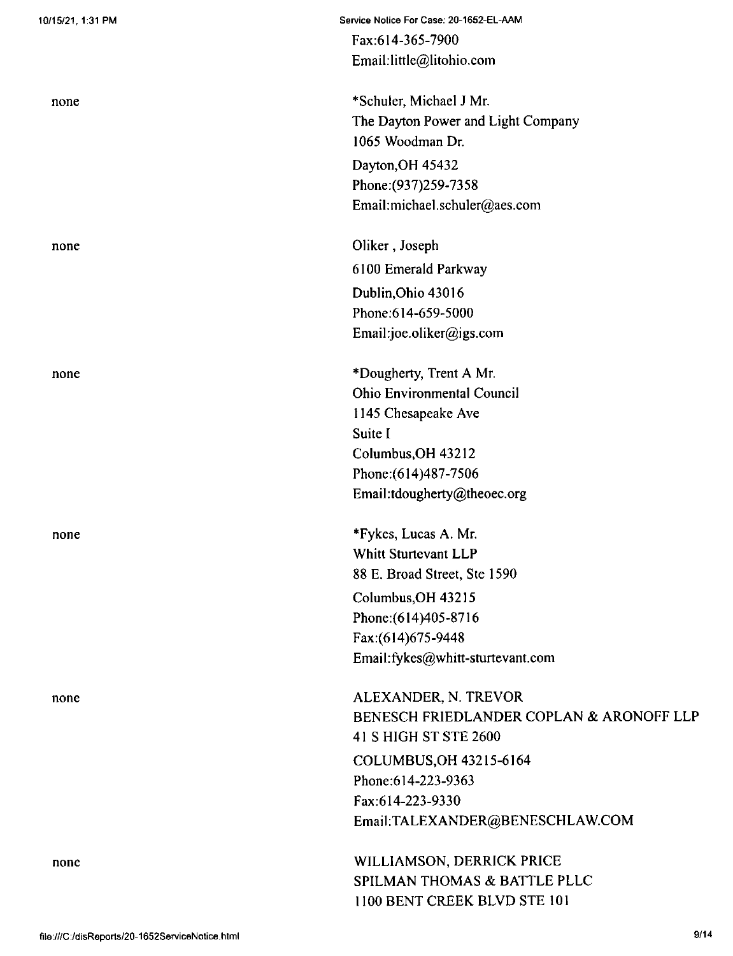| 10/15/21, 1:31 PM | Service Notice For Case: 20-1652-EL-AAM  |
|-------------------|------------------------------------------|
|                   | Fax:614-365-7900                         |
|                   | Email:little@litohio.com                 |
| none              | *Schuler, Michael J Mr.                  |
|                   | The Dayton Power and Light Company       |
|                   | 1065 Woodman Dr.                         |
|                   | Dayton, OH 45432                         |
|                   | Phone: (937) 259-7358                    |
|                   | Email:michael.schuler@aes.com            |
| none              | Oliker, Joseph                           |
|                   | 6100 Emerald Parkway                     |
|                   | Dublin, Ohio 43016                       |
|                   | Phone: 614-659-5000                      |
|                   | Email:joe.oliker@igs.com                 |
| none              | *Dougherty, Trent A Mr.                  |
|                   | <b>Ohio Environmental Council</b>        |
|                   | 1145 Chesapeake Ave                      |
|                   | Suite I                                  |
|                   | Columbus, OH 43212                       |
|                   | Phone: (614) 487-7506                    |
|                   | Email:tdougherty@theoec.org              |
| none              | *Fykes, Lucas A. Mr.                     |
|                   | <b>Whitt Sturtevant LLP</b>              |
|                   | 88 E. Broad Street, Ste 1590             |
|                   | Columbus, OH 43215                       |
|                   | Phone: (614) 405-8716                    |
|                   | Fax:(614)675-9448                        |
|                   | Email:fykes@whitt-sturtevant.com         |
| none              | ALEXANDER, N. TREVOR                     |
|                   | BENESCH FRIEDLANDER COPLAN & ARONOFF LLP |
|                   | 41 S HIGH ST STE 2600                    |
|                   | COLUMBUS, OH 43215-6164                  |
|                   | Phone:614-223-9363                       |
|                   | Fax:614-223-9330                         |
|                   | Email:TALEXANDER@BENESCHLAW.COM          |
| none              | WILLIAMSON, DERRICK PRICE                |
|                   | SPILMAN THOMAS & BATTLE PLLC             |
|                   | 1100 BENT CREEK BLVD STE 101             |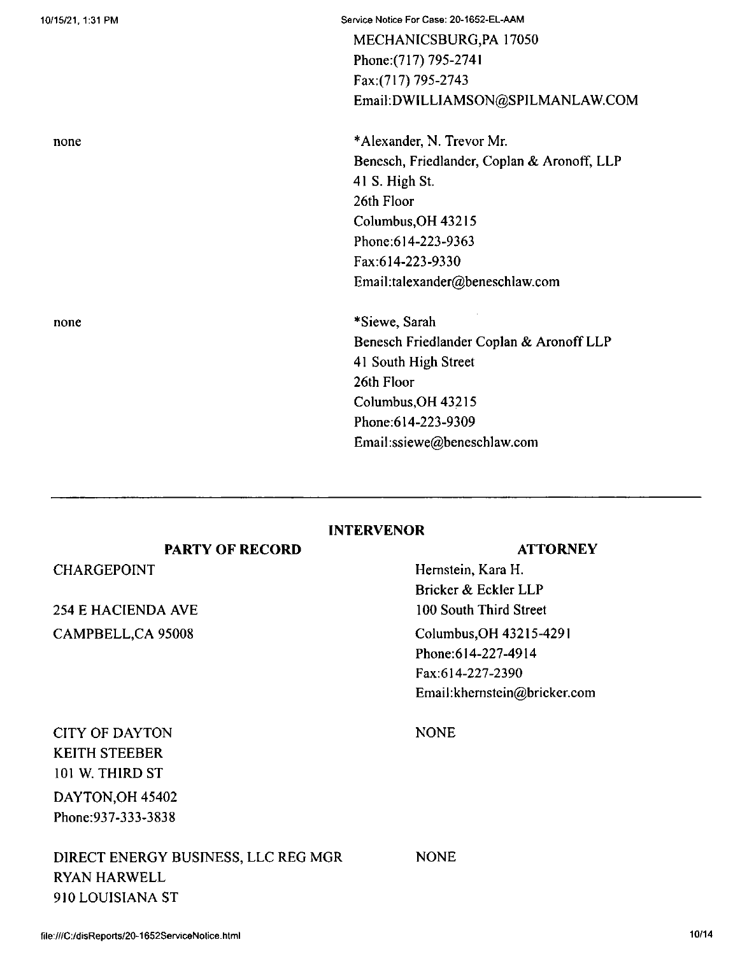254 E HACIENDA AVE CITY OF DAYTON KEITH STEEBER 101 W. THIRD ST CHARGEPOINT

> RYAN HARWELL 910 LOUISIANA ST

DAYTON,OH 45402 Phone:937-333-3838

CAMPBELL,CA 95008

**PARTY OF RECORD**

## **INTERVENOR**

**ATTORNEY**

Columbus,OH 43215-4291 Phone:614-227-4914 Fax:614-227-2390 Email:khemstein@bricker.com Hemstein, Kara H. Bricker & Eckler LLP 100 South Third Street

NONE

NONE DIRECT ENERGY BUSINESS, LLC REG MGR

MECHANICSBURG,PA 17050 Phone:(717) 795-2741 Fax:(717) 795-2743 Email:DWILLIAMSON@SPILMANLAW.COM

\*Alexander, N. Trevor Mr. Benesch, Friedlander, Coplan & Aronoff, LLP 41 S. High St. 26th Floor Columbus,OH 43215 Phone;614-223-9363 Fax:614-223-9330 Email:talexander@beneschlaw.com

\*Siewe, Sarah Benesch Friedlander Coplan & AronoffLLP 41 South High Street 26th Floor Columbus,OH 43215 Phone;614-223-9309 Email:ssiewe@beneschlaw.com

none

none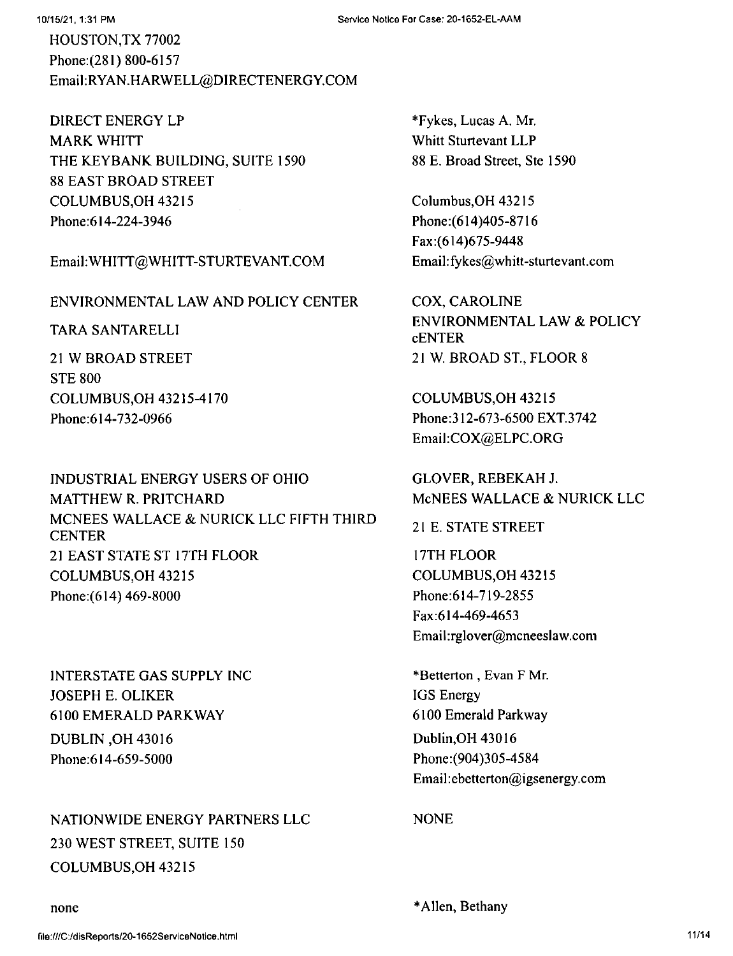HOUSTON,TX 77002 Phone:(281) 800-6157 Email:RYAN.HARWELL@DlRECTENERGY.COM

DIRECT ENERGY LP MARK WHITT THE KEYBANK BUILDING, SUITE 1590 88 EAST BROAD STREET COLUMBUS,OH 43215 Phone:614-224-3946

Email:WHITT@WHITT-STURTEVANT.COM

## ENVIRONMENTAL LAW AND POLICY CENTER

TARA SANTARELLI

21 W BROAD STREET STE 800 COLUMBUS,OH 43215-4170 Phone:614-732-0966

INDUSTRIAL ENERGY USERS OF OHIO MATTHEW R. PRITCHARD MCNEES WALLACE & NURICK LLC FIFTH THIRD CENTER 21 EAST STATE ST 17TH FLOOR COLUMBUS,OH 43215 Phone:(614) 469-8000

INTERSTATE GAS SUPPLY INC JOSEPH E. OLIKER 6100 EMERALD PARKWAY DUBLIN ,OH 43016 Phone:614-659-5000

NATIONWIDE ENERGY PARTNERS LLC NONE 230 WEST STREET, SUITE 150 COLUMBUS,OH 43215

\*Fykes, Lucas A. Mr. Whitt Sturtevant LLP 88 E, Broad Street, Ste 1590

Columbus,OH 43215 Phone:(614)405-8716 Fax:(614)675-9448 Email:fykes@whitt-sturtevant.com

COX, CAROLINE ENVIRONMENTAL LAW & POLICY **cENTER** 21 W. BROAD ST., FLOOR 8

COLUMBUS,OH 43215 Phone:312-673-6500 EXT.3742 Email:COX@ELPC.ORG

GLOVER, REBEKAH J. McNEES WALLACE & NURICK LLC

2<sup>1</sup> E. STATE STREET

17TH FLOOR COLUMBUS,OH 43215 Phone:614-719-2855 Fax:614-469-4653 Email:rglover@mcneeslaw.com

\*Betterton , Evan F Mr. IGS Energy 6100 Emerald Parkway Dublin,OH 43016 Phone:(904)305-4584 Email:ebetterton@igsenergy.com

none \*Allen, Bethany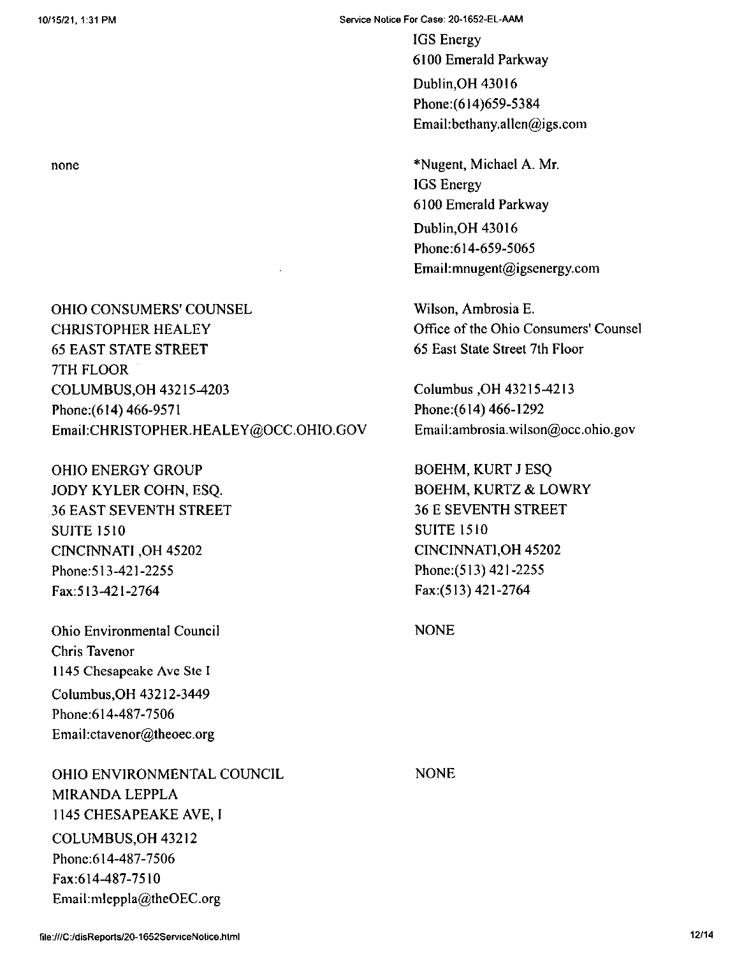Service Notice For Case: 20-1652-EL-AAM

IGS Energy 6100 Emerald Parkway Dublin,OH 43016 Phone:(614)659-5384 Email:bethany.allen@igs.com

\*Nugent, Michael A. Mr. IGS Energy 6100 Emerald Parkway Dublin,OH 43016 Phone:614-659-5065 Email:mnugent@igsenergy.com

Wilson, Ambrosia E. Office of the Ohio Consumers' Counsel 65 East State Street 7th Floor

Columbus ,OH 43215-4213 Phone:(614) 466-1292 Email:ambrosia.wilson@occ.ohio.gov

BOEHM, KURT <sup>J</sup> ESQ BOEHM, KURTZ & LOWRY 36 E SEVENTH STREET SUITE 1510 CINCINNATI,OH 45202 Phone:(513)421-2255 Fax:(513) 421-2764

NONE

none

OHIO CONSUMERS' COUNSEL CHRISTOPHER HEALEY 65 EAST STATE STREET 7TH FLOOR COLUMBUS,OH 43215^203 Phone:(6I4) 466-9571 Email:CHRISTOPHER.HEALEY@OCC.OHIO.GOV

OHIO ENERGY GROUP JODY KYLER COHN, ESQ. 36 EAST SEVENTH STREET SUITE 1510 CINCINNATI ,OH 45202 Phone:513-421-2255 Fax:513-421-2764

Ohio Environmental Council Chris Tavenor 1145 Chesapeake Ave Ste <sup>I</sup> Columbus,OH 43212-3449 Phone:614-487-7506 Email:ctavenor@theoec.org

OHIO ENVIRONMENTAL COUNCIL MIRANDA LEPPLA 1145 CHESAPEAKE AVE, <sup>I</sup> COLUMBUS,OH 43212 Phone:614-487-7506 Fax:614-487-7510 Email:mleppla@theOEC.org

NONE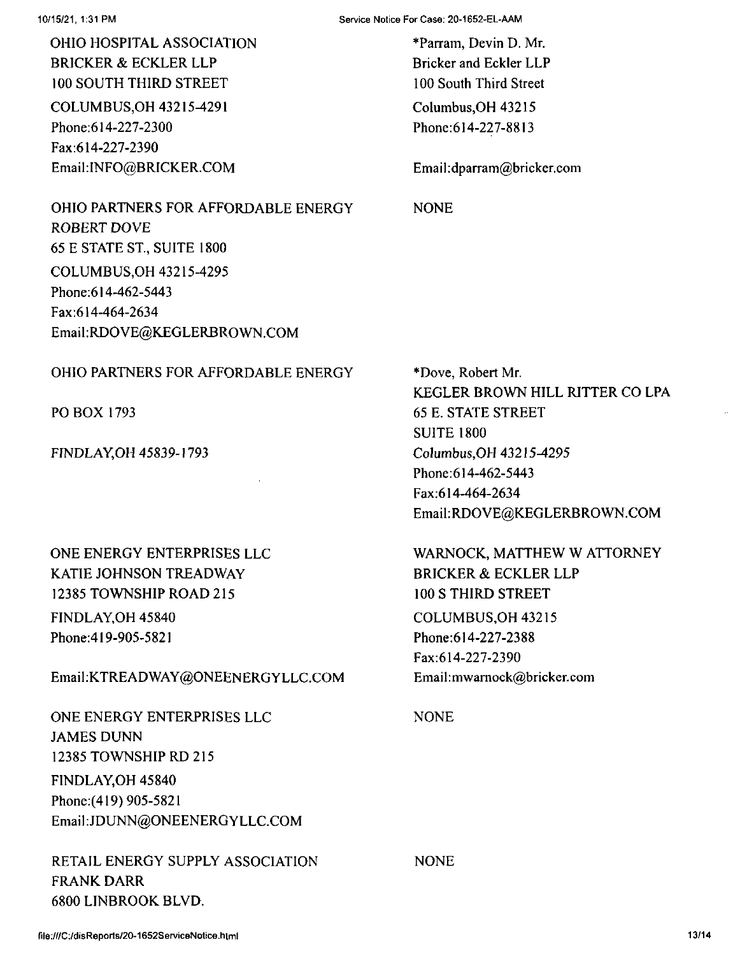OHIO HOSPITAL ASSOCIATION BRICKER & ECKLER LLP 100 SOUTH THIRD STREET COLUMBUS,OH 43215^291 Phone:614-227-2300 Fax:614-227-2390 EmaikINFO@BRICKER.COM

10/15/21, 1:31 PM Service Notice For Case: 20-1652-EL-AAM

Columbus,OH 43215 Phone:614-227-8813 \*Parram, Devin D. Mr. Bricker and Eckler LLP 100 South Third Street

Email:dparram@bricker.com

OHIO PARTNERS FOR AFFORDABLE ENERGY ROBERT DOVE 65 E STATE ST, SUITE 1800 COLUMBUS,OH 43215-4295 Phone:614-462-5443 Fax:614-464-2634 Email:RDOVE@KEGLERBROWN.COM

### OHIO PARTNERS FOR AFFORDABLE ENERGY

PO BOX 1793

FINDLAY,OH 45839-1793

ONE ENERGY ENTERPRISES LLC KATIE JOHNSON TREADWAY 12385 TOWNSHIP ROAD 215 FINDLAY,OH 45840 Phone:419-905-5821

EmaikKTREADWAY@ONEENERGYLLC.COM

ONE ENERGY ENTERPRISES LLC JAMES DUNN 12385 TOWNSHIP RD 215 FINDLAY,OH 45840 Phone;(419) 905-5821 EmaikJDUNN@ONEENERGYLLC.COM

RETAIL ENERGY SUPPLY ASSOCIATION FRANK DARR 6800 LINBROOK BLVD,

NONE

\*Dove, Robert Mr. KEGLER BROWN HILL RITTER CO LPA 65 E. STATE STREET SUITE 1800 Columbus,OH 43215^295 Phone:614-462-5443 Fax:614-464-2634 Email:RDOVE@KEGLERBROWN.COM

WARNOCK, MATTHEW W ATTORNEY BRICKER & ECKLER LLP 100 S THIRD STREET COLUMBUS,OH 43215 Phone:614-227-2388 Fax:614-227-2390 Email:mwarnock@bricker.com

NONE

NONE